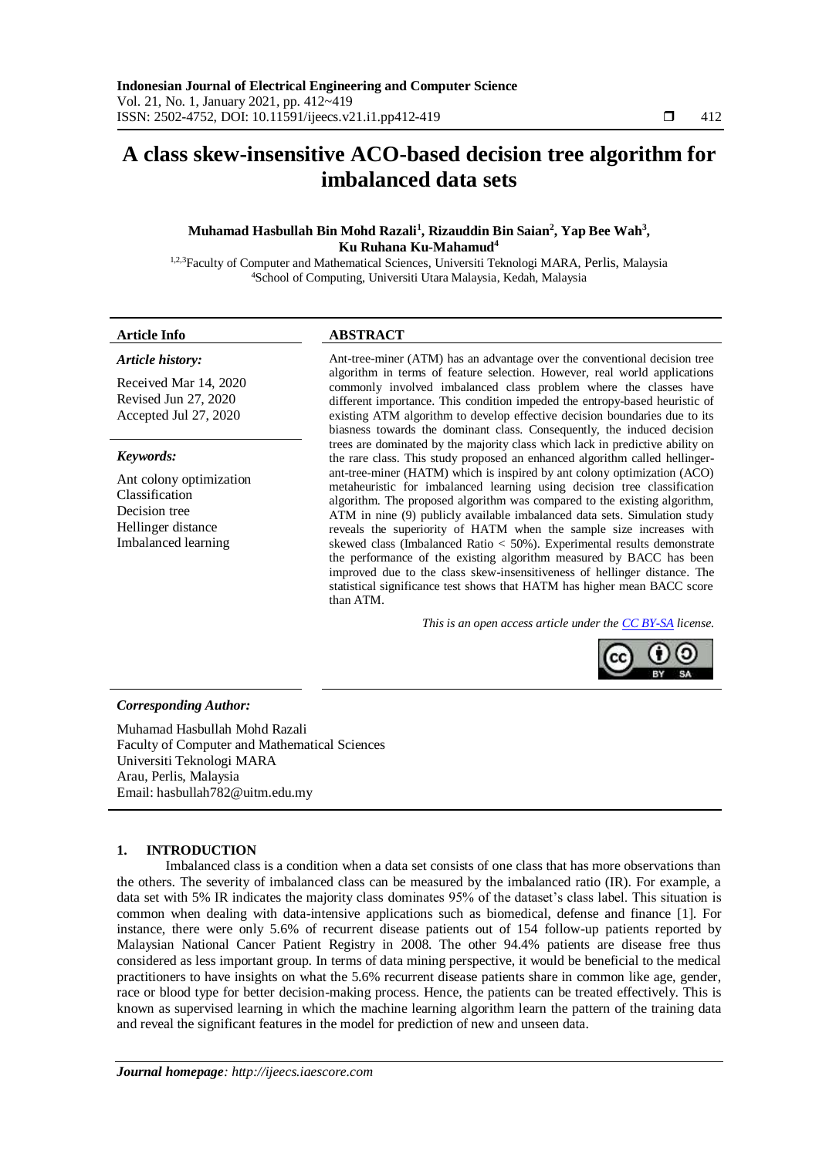# **A class skew-insensitive ACO-based decision tree algorithm for imbalanced data sets**

# **Muhamad Hasbullah Bin Mohd Razali<sup>1</sup> , Rizauddin Bin Saian<sup>2</sup> , Yap Bee Wah<sup>3</sup> , Ku Ruhana Ku-Mahamud<sup>4</sup>**

<sup>1,2,3</sup>Faculty of Computer and Mathematical Sciences, Universiti Teknologi MARA, Perlis, Malaysia <sup>4</sup>School of Computing, Universiti Utara Malaysia, Kedah, Malaysia

#### *Article history:*

Received Mar 14, 2020 Revised Jun 27, 2020 Accepted Jul 27, 2020

#### *Keywords:*

Ant colony optimization Classification Decision tree Hellinger distance Imbalanced learning

#### **Article Info ABSTRACT**

Ant-tree-miner (ATM) has an advantage over the conventional decision tree algorithm in terms of feature selection. However, real world applications commonly involved imbalanced class problem where the classes have different importance. This condition impeded the entropy-based heuristic of existing ATM algorithm to develop effective decision boundaries due to its biasness towards the dominant class. Consequently, the induced decision trees are dominated by the majority class which lack in predictive ability on the rare class. This study proposed an enhanced algorithm called hellingerant-tree-miner (HATM) which is inspired by ant colony optimization (ACO) metaheuristic for imbalanced learning using decision tree classification algorithm. The proposed algorithm was compared to the existing algorithm, ATM in nine (9) publicly available imbalanced data sets. Simulation study reveals the superiority of HATM when the sample size increases with skewed class (Imbalanced Ratio < 50%). Experimental results demonstrate the performance of the existing algorithm measured by BACC has been improved due to the class skew-insensitiveness of hellinger distance. The statistical significance test shows that HATM has higher mean BACC score than ATM.

*This is an open access article under the [CC BY-SA](https://creativecommons.org/licenses/by-sa/4.0/) license.*



#### *Corresponding Author:*

Muhamad Hasbullah Mohd Razali Faculty of Computer and Mathematical Sciences Universiti Teknologi MARA Arau, Perlis, Malaysia Email: [hasbullah782@uitm.edu.my](mailto:hasbullah782@uitm.edu.my)

#### **1. INTRODUCTION**

Imbalanced class is a condition when a data set consists of one class that has more observations than the others. The severity of imbalanced class can be measured by the imbalanced ratio (IR). For example, a data set with 5% IR indicates the majority class dominates 95% of the dataset's class label. This situation is common when dealing with data-intensive applications such as biomedical, defense and finance [1]. For instance, there were only 5.6% of recurrent disease patients out of 154 follow-up patients reported by Malaysian National Cancer Patient Registry in 2008. The other 94.4% patients are disease free thus considered as less important group. In terms of data mining perspective, it would be beneficial to the medical practitioners to have insights on what the 5.6% recurrent disease patients share in common like age, gender, race or blood type for better decision-making process. Hence, the patients can be treated effectively. This is known as supervised learning in which the machine learning algorithm learn the pattern of the training data and reveal the significant features in the model for prediction of new and unseen data.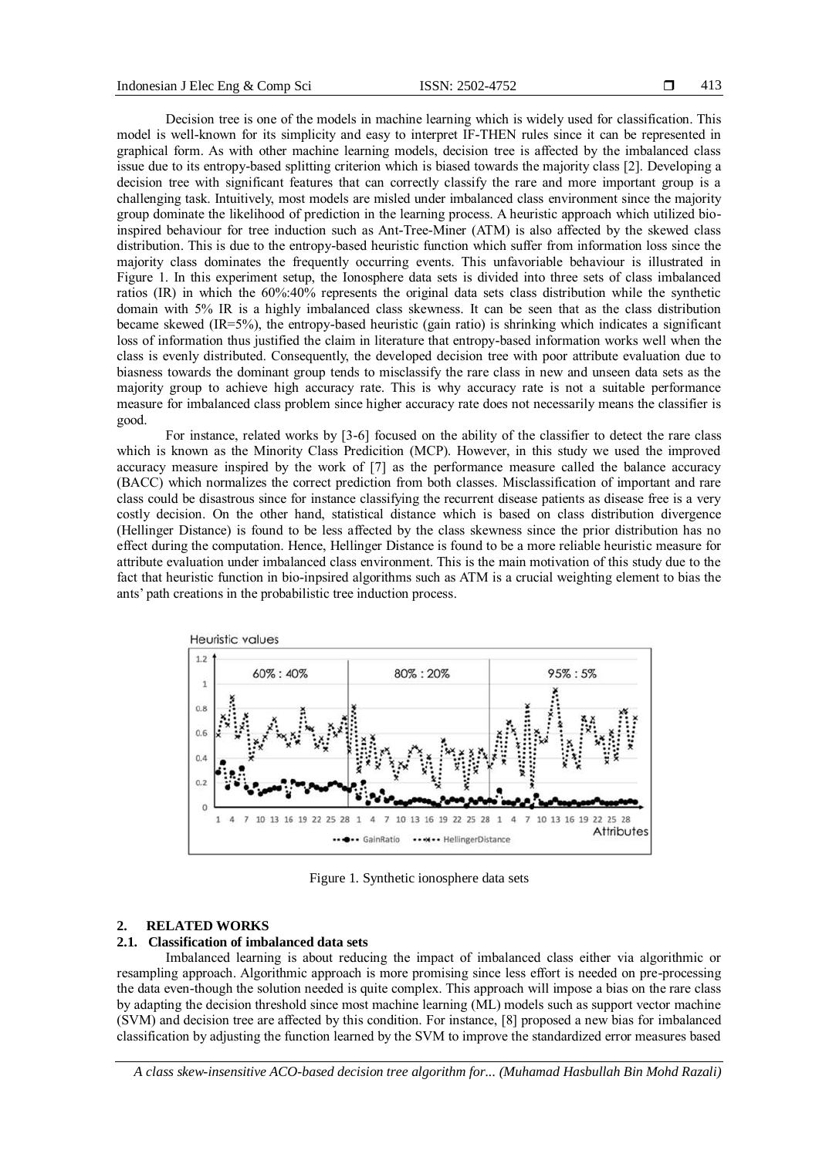Decision tree is one of the models in machine learning which is widely used for classification. This model is well-known for its simplicity and easy to interpret IF-THEN rules since it can be represented in graphical form. As with other machine learning models, decision tree is affected by the imbalanced class issue due to its entropy-based splitting criterion which is biased towards the majority class [2]. Developing a decision tree with significant features that can correctly classify the rare and more important group is a challenging task. Intuitively, most models are misled under imbalanced class environment since the majority group dominate the likelihood of prediction in the learning process. A heuristic approach which utilized bioinspired behaviour for tree induction such as Ant-Tree-Miner (ATM) is also affected by the skewed class distribution. This is due to the entropy-based heuristic function which suffer from information loss since the majority class dominates the frequently occurring events. This unfavoriable behaviour is illustrated in Figure 1. In this experiment setup, the Ionosphere data sets is divided into three sets of class imbalanced ratios (IR) in which the 60%:40% represents the original data sets class distribution while the synthetic domain with 5% IR is a highly imbalanced class skewness. It can be seen that as the class distribution became skewed (IR=5%), the entropy-based heuristic (gain ratio) is shrinking which indicates a significant loss of information thus justified the claim in literature that entropy-based information works well when the class is evenly distributed. Consequently, the developed decision tree with poor attribute evaluation due to biasness towards the dominant group tends to misclassify the rare class in new and unseen data sets as the majority group to achieve high accuracy rate. This is why accuracy rate is not a suitable performance measure for imbalanced class problem since higher accuracy rate does not necessarily means the classifier is good.

For instance, related works by [3-6] focused on the ability of the classifier to detect the rare class which is known as the Minority Class Predicition (MCP). However, in this study we used the improved accuracy measure inspired by the work of [7] as the performance measure called the balance accuracy (BACC) which normalizes the correct prediction from both classes. Misclassification of important and rare class could be disastrous since for instance classifying the recurrent disease patients as disease free is a very costly decision. On the other hand, statistical distance which is based on class distribution divergence (Hellinger Distance) is found to be less affected by the class skewness since the prior distribution has no effect during the computation. Hence, Hellinger Distance is found to be a more reliable heuristic measure for attribute evaluation under imbalanced class environment. This is the main motivation of this study due to the fact that heuristic function in bio-inpsired algorithms such as ATM is a crucial weighting element to bias the ants' path creations in the probabilistic tree induction process.



Figure 1. Synthetic ionosphere data sets

## **2. RELATED WORKS**

# **2.1. Classification of imbalanced data sets**

Imbalanced learning is about reducing the impact of imbalanced class either via algorithmic or resampling approach. Algorithmic approach is more promising since less effort is needed on pre-processing the data even-though the solution needed is quite complex. This approach will impose a bias on the rare class by adapting the decision threshold since most machine learning (ML) models such as support vector machine (SVM) and decision tree are affected by this condition. For instance, [8] proposed a new bias for imbalanced classification by adjusting the function learned by the SVM to improve the standardized error measures based

*A class skew-insensitive ACO-based decision tree algorithm for... (Muhamad Hasbullah Bin Mohd Razali)*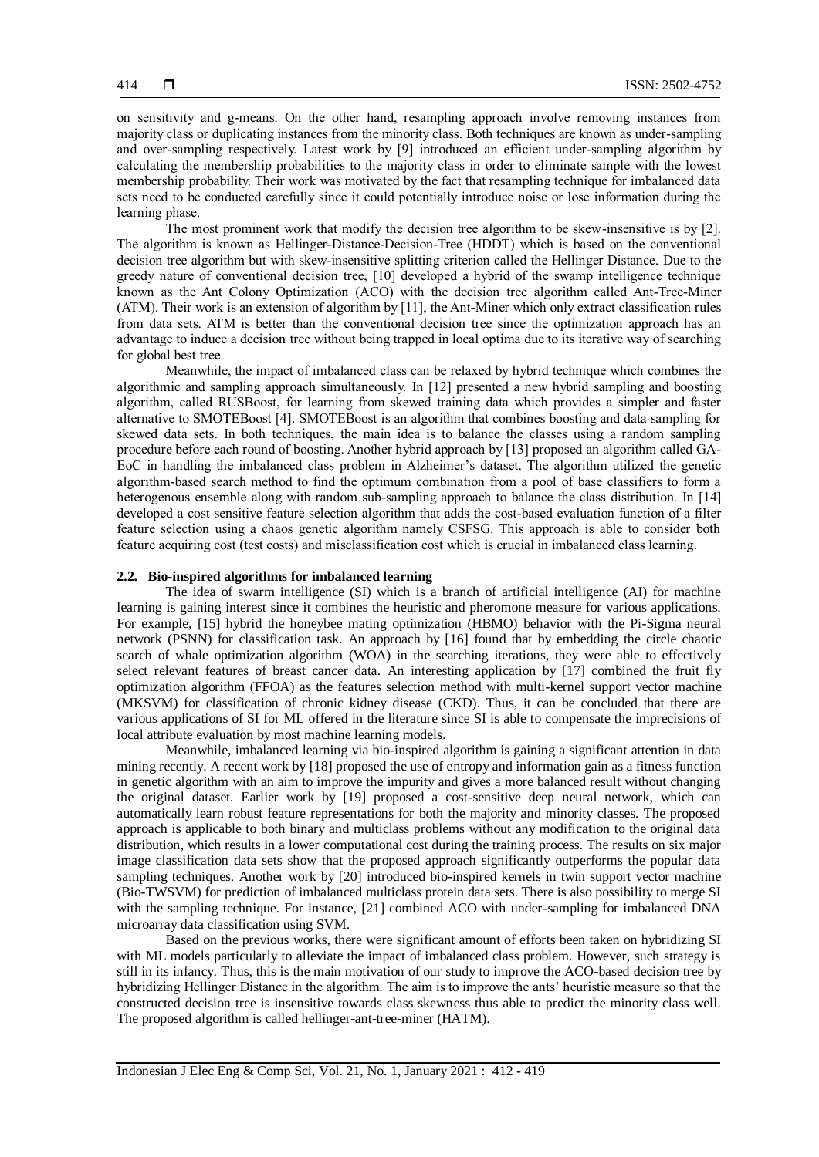on sensitivity and g-means. On the other hand, resampling approach involve removing instances from majority class or duplicating instances from the minority class. Both techniques are known as under-sampling and over-sampling respectively. Latest work by [9] introduced an efficient under-sampling algorithm by calculating the membership probabilities to the majority class in order to eliminate sample with the lowest membership probability. Their work was motivated by the fact that resampling technique for imbalanced data sets need to be conducted carefully since it could potentially introduce noise or lose information during the learning phase.

The most prominent work that modify the decision tree algorithm to be skew-insensitive is by [2]. The algorithm is known as Hellinger-Distance-Decision-Tree (HDDT) which is based on the conventional decision tree algorithm but with skew-insensitive splitting criterion called the Hellinger Distance. Due to the greedy nature of conventional decision tree, [10] developed a hybrid of the swamp intelligence technique known as the Ant Colony Optimization (ACO) with the decision tree algorithm called Ant-Tree-Miner (ATM). Their work is an extension of algorithm by [11], the Ant-Miner which only extract classification rules from data sets. ATM is better than the conventional decision tree since the optimization approach has an advantage to induce a decision tree without being trapped in local optima due to its iterative way of searching for global best tree.

Meanwhile, the impact of imbalanced class can be relaxed by hybrid technique which combines the algorithmic and sampling approach simultaneously. In [12] presented a new hybrid sampling and boosting algorithm, called RUSBoost, for learning from skewed training data which provides a simpler and faster alternative to SMOTEBoost [4]. SMOTEBoost is an algorithm that combines boosting and data sampling for skewed data sets. In both techniques, the main idea is to balance the classes using a random sampling procedure before each round of boosting. Another hybrid approach by [13] proposed an algorithm called GA-EoC in handling the imbalanced class problem in Alzheimer's dataset. The algorithm utilized the genetic algorithm-based search method to find the optimum combination from a pool of base classifiers to form a heterogenous ensemble along with random sub-sampling approach to balance the class distribution. In [14] developed a cost sensitive feature selection algorithm that adds the cost-based evaluation function of a filter feature selection using a chaos genetic algorithm namely CSFSG. This approach is able to consider both feature acquiring cost (test costs) and misclassification cost which is crucial in imbalanced class learning.

#### **2.2. Bio-inspired algorithms for imbalanced learning**

The idea of swarm intelligence (SI) which is a branch of artificial intelligence (AI) for machine learning is gaining interest since it combines the heuristic and pheromone measure for various applications. For example, [15] hybrid the honeybee mating optimization (HBMO) behavior with the Pi-Sigma neural network (PSNN) for classification task. An approach by [16] found that by embedding the circle chaotic search of whale optimization algorithm (WOA) in the searching iterations, they were able to effectively select relevant features of breast cancer data. An interesting application by [17] combined the fruit fly optimization algorithm (FFOA) as the features selection method with multi-kernel support vector machine (MKSVM) for classification of chronic kidney disease (CKD). Thus, it can be concluded that there are various applications of SI for ML offered in the literature since SI is able to compensate the imprecisions of local attribute evaluation by most machine learning models.

Meanwhile, imbalanced learning via bio-inspired algorithm is gaining a significant attention in data mining recently. A recent work by [18] proposed the use of entropy and information gain as a fitness function in genetic algorithm with an aim to improve the impurity and gives a more balanced result without changing the original dataset. Earlier work by [19] proposed a cost-sensitive deep neural network, which can automatically learn robust feature representations for both the majority and minority classes. The proposed approach is applicable to both binary and multiclass problems without any modification to the original data distribution, which results in a lower computational cost during the training process. The results on six major image classification data sets show that the proposed approach significantly outperforms the popular data sampling techniques. Another work by [20] introduced bio-inspired kernels in twin support vector machine (Bio-TWSVM) for prediction of imbalanced multiclass protein data sets. There is also possibility to merge SI with the sampling technique. For instance, [21] combined ACO with under-sampling for imbalanced DNA microarray data classification using SVM.

Based on the previous works, there were significant amount of efforts been taken on hybridizing SI with ML models particularly to alleviate the impact of imbalanced class problem. However, such strategy is still in its infancy. Thus, this is the main motivation of our study to improve the ACO-based decision tree by hybridizing Hellinger Distance in the algorithm. The aim is to improve the ants' heuristic measure so that the constructed decision tree is insensitive towards class skewness thus able to predict the minority class well. The proposed algorithm is called hellinger-ant-tree-miner (HATM).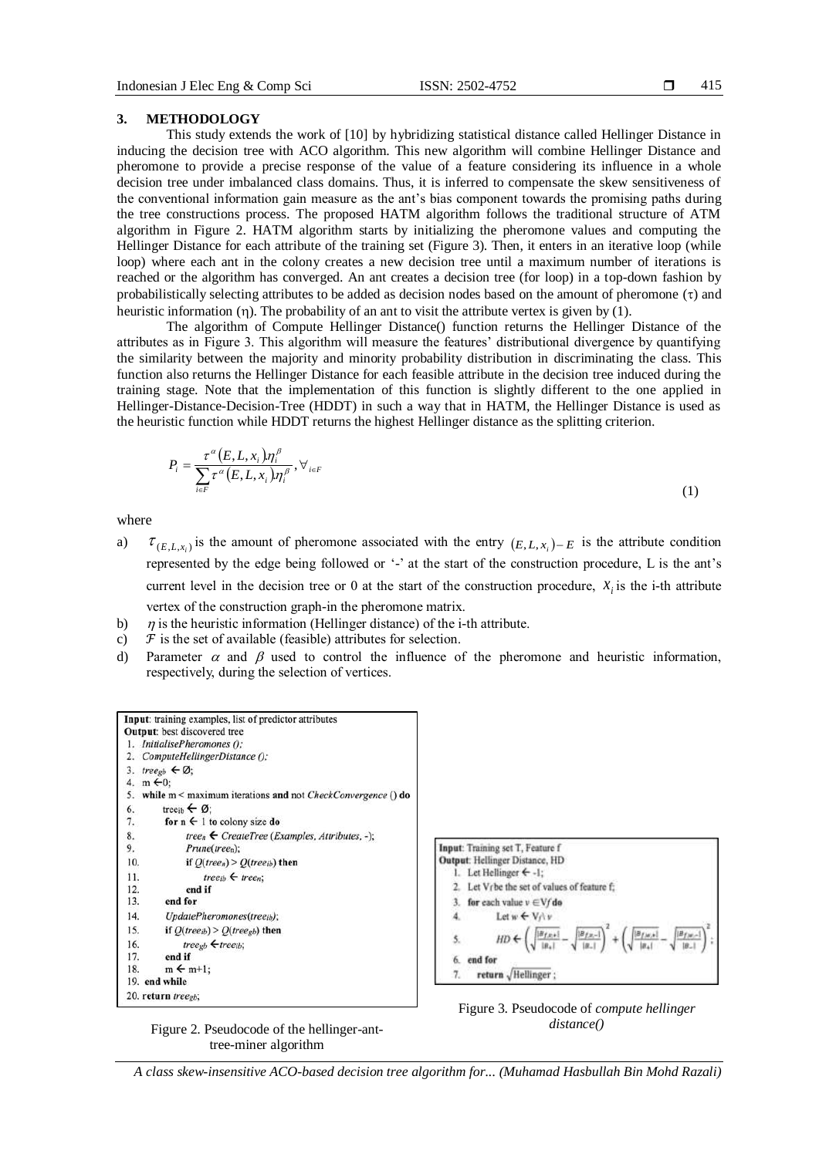#### **3. METHODOLOGY**

This study extends the work of [10] by hybridizing statistical distance called Hellinger Distance in inducing the decision tree with ACO algorithm. This new algorithm will combine Hellinger Distance and pheromone to provide a precise response of the value of a feature considering its influence in a whole decision tree under imbalanced class domains. Thus, it is inferred to compensate the skew sensitiveness of the conventional information gain measure as the ant's bias component towards the promising paths during the tree constructions process. The proposed HATM algorithm follows the traditional structure of ATM algorithm in Figure 2. HATM algorithm starts by initializing the pheromone values and computing the Hellinger Distance for each attribute of the training set (Figure 3). Then, it enters in an iterative loop (while loop) where each ant in the colony creates a new decision tree until a maximum number of iterations is reached or the algorithm has converged. An ant creates a decision tree (for loop) in a top-down fashion by probabilistically selecting attributes to be added as decision nodes based on the amount of pheromone  $(\tau)$  and heuristic information (n). The probability of an ant to visit the attribute vertex is given by  $(1)$ .

The algorithm of Compute Hellinger Distance() function returns the Hellinger Distance of the attributes as in Figure 3. This algorithm will measure the features' distributional divergence by quantifying the similarity between the majority and minority probability distribution in discriminating the class. This function also returns the Hellinger Distance for each feasible attribute in the decision tree induced during the training stage. Note that the implementation of this function is slightly different to the one applied in Hellinger-Distance-Decision-Tree (HDDT) in such a way that in HATM, the Hellinger Distance is used as the heuristic function while HDDT returns the highest Hellinger distance as the splitting criterion.

$$
P_i = \frac{\tau^{\alpha}(E, L, x_i) \eta_i^{\beta}}{\sum_{i \in F} \tau^{\alpha}(E, L, x_i) \eta_i^{\beta}}, \forall_{i \in F}
$$
\n
$$
(1)
$$

where

- a)  $\tau_{(E, L, x_i)}$  is the amount of pheromone associated with the entry  $(E, L, x_i) - E$  is the attribute condition represented by the edge being followed or '-' at the start of the construction procedure, L is the ant's current level in the decision tree or 0 at the start of the construction procedure,  $x_i$  is the i-th attribute vertex of the construction graph-in the pheromone matrix.
- b)  $\eta$  is the heuristic information (Hellinger distance) of the i-th attribute.
- c)  $\mathcal F$  is the set of available (feasible) attributes for selection.
- d) Parameter  $\alpha$  and  $\beta$  used to control the influence of the pheromone and heuristic information, respectively, during the selection of vertices.



Input: Training set T, Feature f **Output: Hellinger Distance, HD** 1. Let Hellinger  $\leftarrow -1$ ; 2. Let Vrbe the set of values of feature f; for each value  $v \in Vf$  do  $\overline{3}$ Let  $w \leftarrow V \wedge v$  $\Delta$  $|H_{f,n+}|$ 5  $HD +$  $|B_1|$ end for  $6$  $\tau$ return VHellinger;



Figure 2. Pseudocode of the hellinger-anttree-miner algorithm

*A class skew-insensitive ACO-based decision tree algorithm for... (Muhamad Hasbullah Bin Mohd Razali)*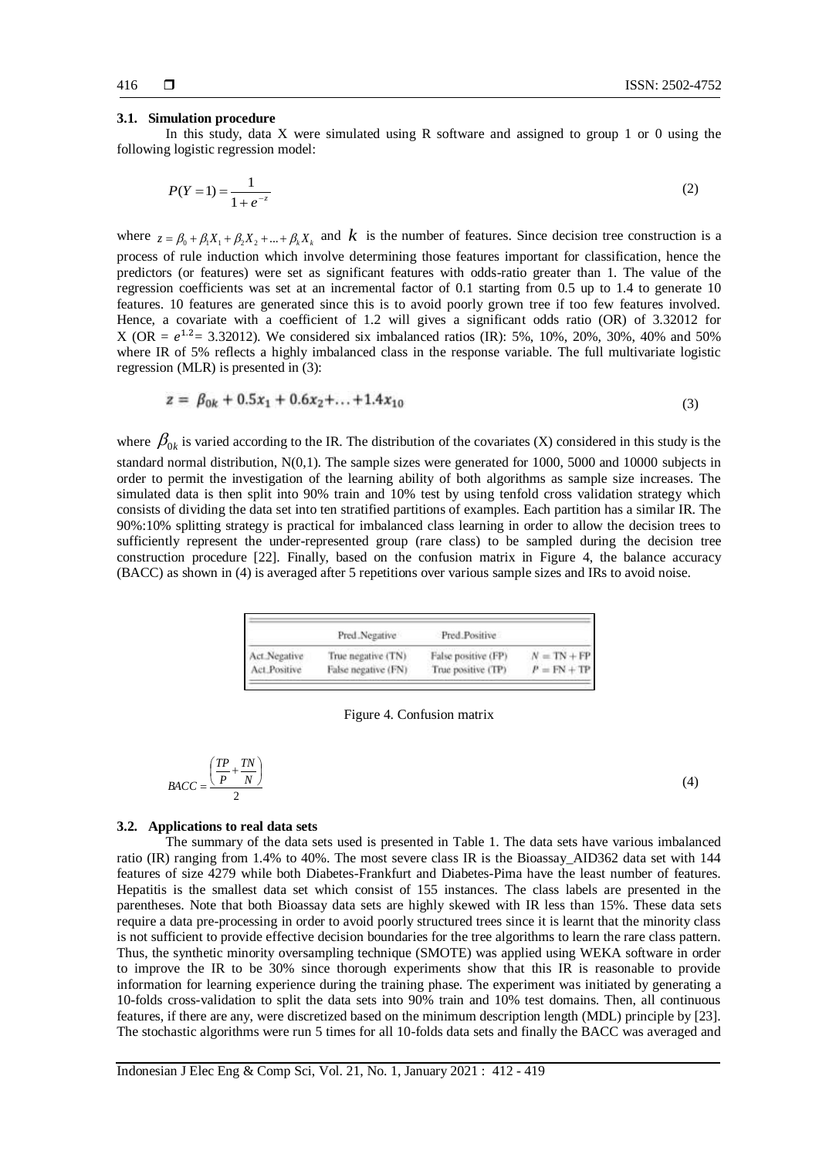#### **3.1. Simulation procedure**

In this study, data  $X$  were simulated using  $R$  software and assigned to group 1 or 0 using the following logistic regression model:

$$
P(Y=1) = \frac{1}{1 + e^{-z}}\tag{2}
$$

where  $z = \beta_0 + \beta_1 X_1 + \beta_2 X_2 + ... + \beta_k X_k$  and k is the number of features. Since decision tree construction is a process of rule induction which involve determining those features important for classification, hence the predictors (or features) were set as significant features with odds-ratio greater than 1. The value of the regression coefficients was set at an incremental factor of 0.1 starting from 0.5 up to 1.4 to generate 10 features. 10 features are generated since this is to avoid poorly grown tree if too few features involved. Hence, a covariate with a coefficient of 1.2 will gives a significant odds ratio (OR) of 3.32012 for X (OR =  $e^{1.2}$  = 3.32012). We considered six imbalanced ratios (IR): 5%, 10%, 20%, 30%, 40% and 50% where IR of 5% reflects a highly imbalanced class in the response variable. The full multivariate logistic regression (MLR) is presented in (3):

$$
z = \beta_{0k} + 0.5x_1 + 0.6x_2 + \ldots + 1.4x_{10} \tag{3}
$$

where  $\beta_{0k}$  is varied according to the IR. The distribution of the covariates (X) considered in this study is the standard normal distribution, N(0,1). The sample sizes were generated for 1000, 5000 and 10000 subjects in order to permit the investigation of the learning ability of both algorithms as sample size increases. The simulated data is then split into 90% train and 10% test by using tenfold cross validation strategy which consists of dividing the data set into ten stratified partitions of examples. Each partition has a similar IR. The 90%:10% splitting strategy is practical for imbalanced class learning in order to allow the decision trees to sufficiently represent the under-represented group (rare class) to be sampled during the decision tree construction procedure [22]. Finally, based on the confusion matrix in Figure 4, the balance accuracy (BACC) as shown in (4) is averaged after 5 repetitions over various sample sizes and IRs to avoid noise.

|              | Pred.Negative       | Pred Positive       |               |
|--------------|---------------------|---------------------|---------------|
| Act Negative | True negative (TN)  | False positive (FP) | $N = TN + FP$ |
| Act Positive | False negative (FN) | True positive (TP)  | $P = FN + TP$ |

Figure 4. Confusion matrix

|      | ٠P |  |
|------|----|--|
| BACC |    |  |
|      |    |  |

#### (4)

#### **3.2. Applications to real data sets**

The summary of the data sets used is presented in Table 1. The data sets have various imbalanced ratio (IR) ranging from 1.4% to 40%. The most severe class IR is the Bioassay\_AID362 data set with 144 features of size 4279 while both Diabetes-Frankfurt and Diabetes-Pima have the least number of features. Hepatitis is the smallest data set which consist of 155 instances. The class labels are presented in the parentheses. Note that both Bioassay data sets are highly skewed with IR less than 15%. These data sets require a data pre-processing in order to avoid poorly structured trees since it is learnt that the minority class is not sufficient to provide effective decision boundaries for the tree algorithms to learn the rare class pattern. Thus, the synthetic minority oversampling technique (SMOTE) was applied using WEKA software in order to improve the IR to be 30% since thorough experiments show that this IR is reasonable to provide information for learning experience during the training phase. The experiment was initiated by generating a 10-folds cross-validation to split the data sets into 90% train and 10% test domains. Then, all continuous features, if there are any, were discretized based on the minimum description length (MDL) principle by [23]. The stochastic algorithms were run 5 times for all 10-folds data sets and finally the BACC was averaged and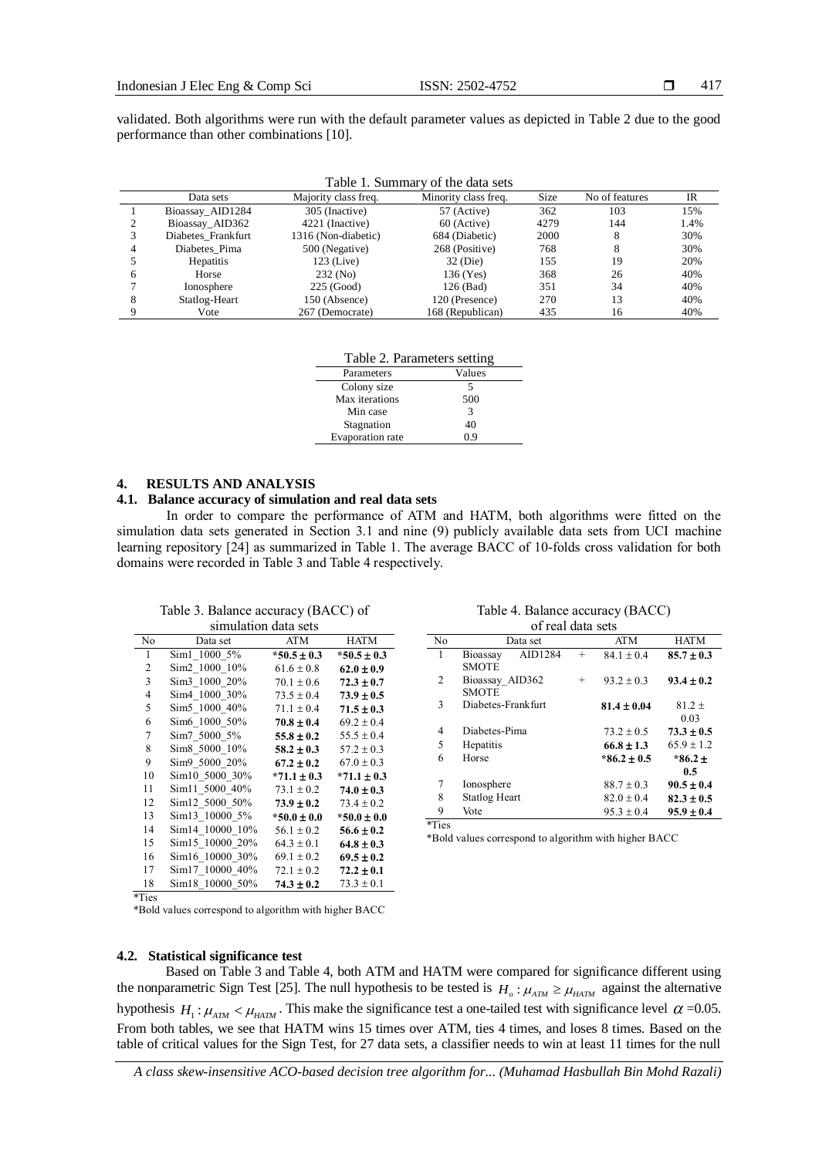validated. Both algorithms were run with the default parameter values as depicted in Table 2 due to the good performance than other combinations [10].

| Table 1. Summary of the data sets |                    |                      |                      |             |                |      |
|-----------------------------------|--------------------|----------------------|----------------------|-------------|----------------|------|
|                                   | Data sets          | Majority class freq. | Minority class freq. | <b>Size</b> | No of features | IR   |
|                                   | Bioassay_AID1284   | 305 (Inactive)       | 57 (Active)          | 362         | 103            | 15%  |
|                                   | Bioassay_AID362    | 4221 (Inactive)      | 60 (Active)          | 4279        | 144            | 1.4% |
|                                   | Diabetes Frankfurt | 1316 (Non-diabetic)  | 684 (Diabetic)       | 2000        | 8              | 30%  |
| 4                                 | Diabetes Pima      | 500 (Negative)       | 268 (Positive)       | 768         | 8              | 30%  |
|                                   | <b>Hepatitis</b>   | $123$ (Live)         | 32 (Die)             | 155         | 19             | 20%  |
| 6                                 | Horse              | 232 (No)             | 136 (Yes)            | 368         | 26             | 40%  |
|                                   | Ionosphere         | $225$ (Good)         | 126 (Bad)            | 351         | 34             | 40%  |
| 8                                 | Statlog-Heart      | 150 (Absence)        | 120 (Presence)       | 270         | 13             | 40%  |
|                                   | Vote               | 267 (Democrate)      | 168 (Republican)     | 435         | 16             | 40%  |

| Table 2. Parameters setting |        |  |  |
|-----------------------------|--------|--|--|
| Parameters                  | Values |  |  |
| Colony size                 | 5      |  |  |
| Max iterations              | 500    |  |  |
| Min case                    | 3      |  |  |
| Stagnation                  | 40     |  |  |
| Evaporation rate            | 09     |  |  |

#### **4. RESULTS AND ANALYSIS**

#### **4.1. Balance accuracy of simulation and real data sets**

In order to compare the performance of ATM and HATM, both algorithms were fitted on the simulation data sets generated in Section 3.1 and nine (9) publicly available data sets from UCI machine learning repository [24] as summarized in Table 1. The average BACC of 10-folds cross validation for both domains were recorded in Table 3 and Table 4 respectively.

Table 3. Balance accuracy (BACC) of simulation data sets

| минанон чаш эскэ |                 |                 |  |  |  |
|------------------|-----------------|-----------------|--|--|--|
| Data set         | <b>ATM</b>      | HATM            |  |  |  |
| Sim1 1000 5%     | $*50.5 \pm 0.3$ | $*50.5 \pm 0.3$ |  |  |  |
| Sim2 1000 10%    | $61.6 \pm 0.8$  | $62.0 \pm 0.9$  |  |  |  |
| Sim3 1000 20%    | $70.1 \pm 0.6$  | $72.3 \pm 0.7$  |  |  |  |
| Sim4 1000 30%    | $73.5 \pm 0.4$  | $73.9 \pm 0.5$  |  |  |  |
| Sim5 1000 40%    | $71.1 \pm 0.4$  | $71.5 \pm 0.3$  |  |  |  |
| Sim6 1000 50%    | $70.8 \pm 0.4$  | $69.2 \pm 0.4$  |  |  |  |
| Sim7 5000 5%     | $55.8 \pm 0.2$  | $55.5 \pm 0.4$  |  |  |  |
| Sim8 5000 10%    | $58.2 \pm 0.3$  | $57.2 \pm 0.3$  |  |  |  |
| Sim9 5000 20%    | $67.2 \pm 0.2$  | $67.0 \pm 0.3$  |  |  |  |
| Sim10 5000 30%   | $*71.1 \pm 0.3$ | $*71.1 \pm 0.3$ |  |  |  |
| Sim11 5000 40%   | $73.1 \pm 0.2$  | $74.0 \pm 0.3$  |  |  |  |
| Sim12 5000 50%   | $73.9 \pm 0.2$  | $73.4 \pm 0.2$  |  |  |  |
| Sim13 10000 5%   | $*50.0 \pm 0.0$ | $*50.0 \pm 0.0$ |  |  |  |
| Sim14 10000 10%  | $56.1 \pm 0.2$  | $56.6 \pm 0.2$  |  |  |  |
| Sim15 10000 20%  | $64.3 \pm 0.1$  | $64.8 \pm 0.3$  |  |  |  |
| Sim16 10000 30%  | $69.1 \pm 0.2$  | $69.5 \pm 0.2$  |  |  |  |
| Sim17 10000 40%  | $72.1 \pm 0.2$  | $72.2 \pm 0.1$  |  |  |  |
| Sim18 10000 50%  | $74.3 \pm 0.2$  | $73.3 \pm 0.1$  |  |  |  |
|                  |                 |                 |  |  |  |

# Table 4. Balance accuracy (BACC)

| of real data sets   |        |                 |                |  |  |
|---------------------|--------|-----------------|----------------|--|--|
| Data set            |        | <b>ATM</b>      | <b>HATM</b>    |  |  |
| AID1284<br>Bioassay | $^{+}$ | $84.1 \pm 0.4$  | $85.7 \pm 0.3$ |  |  |
| <b>SMOTE</b>        |        |                 |                |  |  |
| Bioassay AID362     | $^{+}$ | $93.2 \pm 0.3$  | $93.4 \pm 0.2$ |  |  |
| <b>SMOTE</b>        |        |                 |                |  |  |
| Diabetes-Frankfurt  |        | $81.4 \pm 0.04$ | $81.2 +$       |  |  |
|                     |        |                 | 0.03           |  |  |
| Diabetes-Pima       |        | $73.2 \pm 0.5$  | $73.3 \pm 0.5$ |  |  |
| Hepatitis           |        | $66.8 \pm 1.3$  | $65.9 + 1.2$   |  |  |
| Horse               |        | $*86.2 \pm 0.5$ | $*86.2 \pm$    |  |  |
|                     |        |                 | 0.5            |  |  |
| Ionosphere          |        | $88.7 \pm 0.3$  | $90.5 \pm 0.4$ |  |  |
| Statlog Heart       |        | $82.0 + 0.4$    | $82.3 \pm 0.5$ |  |  |
| Vote                |        | $95.3 \pm 0.4$  | $95.9 \pm 0.4$ |  |  |
|                     |        |                 |                |  |  |

\*Ties

\*Bold values correspond to algorithm with higher BACC

\*Bold values correspond to algorithm with higher BACC

#### **4.2. Statistical significance test**

Based on Table 3 and Table 4, both ATM and HATM were compared for significance different using the nonparametric Sign Test [25]. The null hypothesis to be tested is  $H_o: \mu_{ATM} \ge \mu_{HATM}$  against the alternative hypothesis  $H_1: \mu_{ATM} < \mu_{HATM}$ . This make the significance test a one-tailed test with significance level  $\alpha$  =0.05. From both tables, we see that HATM wins 15 times over ATM, ties 4 times, and loses 8 times. Based on the table of critical values for the Sign Test, for 27 data sets, a classifier needs to win at least 11 times for the null

*A class skew-insensitive ACO-based decision tree algorithm for... (Muhamad Hasbullah Bin Mohd Razali)*

 <sup>\*</sup>Ties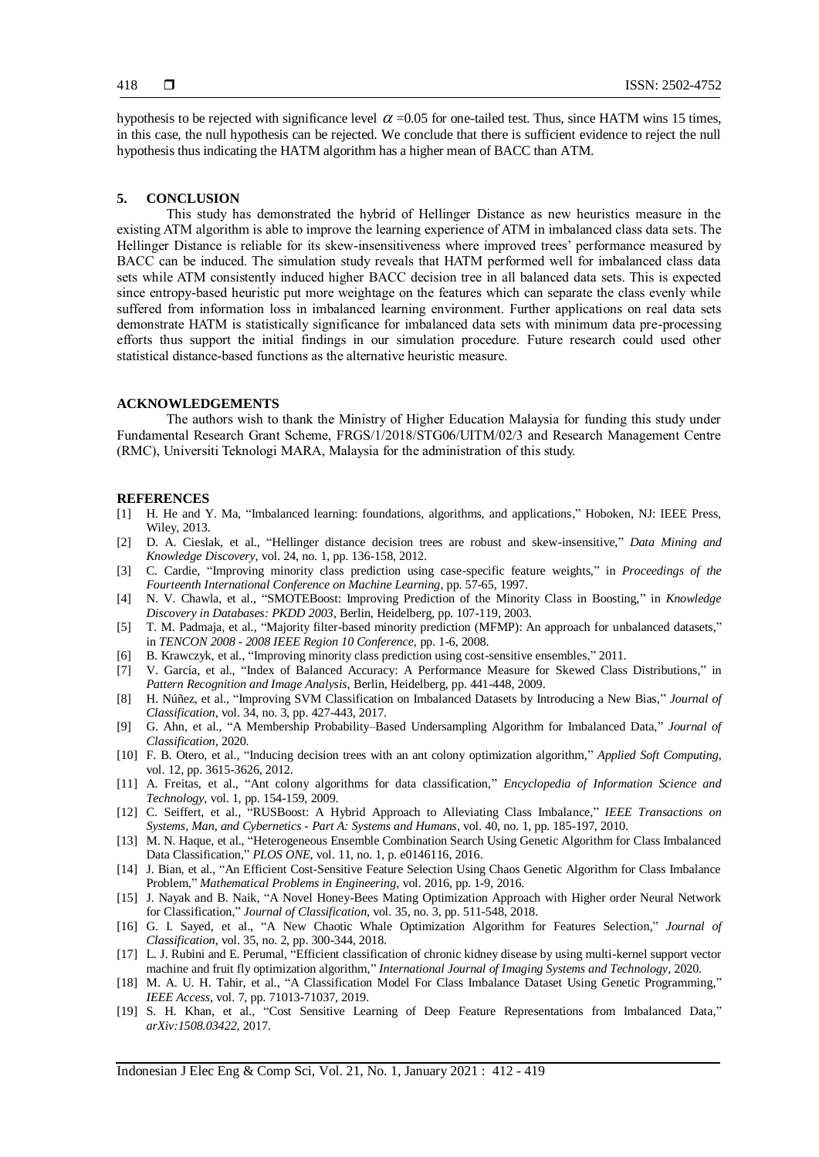hypothesis to be rejected with significance level  $\alpha$  =0.05 for one-tailed test. Thus, since HATM wins 15 times, in this case, the null hypothesis can be rejected. We conclude that there is sufficient evidence to reject the null hypothesis thus indicating the HATM algorithm has a higher mean of BACC than ATM.

#### **5. CONCLUSION**

This study has demonstrated the hybrid of Hellinger Distance as new heuristics measure in the existing ATM algorithm is able to improve the learning experience of ATM in imbalanced class data sets. The Hellinger Distance is reliable for its skew-insensitiveness where improved trees' performance measured by BACC can be induced. The simulation study reveals that HATM performed well for imbalanced class data sets while ATM consistently induced higher BACC decision tree in all balanced data sets. This is expected since entropy-based heuristic put more weightage on the features which can separate the class evenly while suffered from information loss in imbalanced learning environment. Further applications on real data sets demonstrate HATM is statistically significance for imbalanced data sets with minimum data pre-processing efforts thus support the initial findings in our simulation procedure. Future research could used other statistical distance-based functions as the alternative heuristic measure.

### **ACKNOWLEDGEMENTS**

The authors wish to thank the Ministry of Higher Education Malaysia for funding this study under Fundamental Research Grant Scheme, FRGS/1/2018/STG06/UITM/02/3 and Research Management Centre (RMC), Universiti Teknologi MARA, Malaysia for the administration of this study.

#### **REFERENCES**

- [1] H. He and Y. Ma, "Imbalanced learning: foundations, algorithms, and applications," Hoboken, NJ: IEEE Press, Wiley, 2013.
- [2] D. A. Cieslak, et al., "Hellinger distance decision trees are robust and skew-insensitive," *Data Mining and Knowledge Discovery*, vol. 24, no. 1, pp. 136-158, 2012.
- [3] C. Cardie, "Improving minority class prediction using case-specific feature weights," in *Proceedings of the Fourteenth International Conference on Machine Learning*, pp. 57-65, 1997.
- [4] N. V. Chawla, et al., "SMOTEBoost: Improving Prediction of the Minority Class in Boosting," in *Knowledge Discovery in Databases: PKDD 2003*, Berlin, Heidelberg, pp. 107-119, 2003.
- [5] T. M. Padmaja, et al., "Majority filter-based minority prediction (MFMP): An approach for unbalanced datasets," in *TENCON 2008 - 2008 IEEE Region 10 Conference*, pp. 1-6, 2008.
- [6] B. Krawczyk, et al., "Improving minority class prediction using cost-sensitive ensembles," 2011.
- [7] V. García, et al., "Index of Balanced Accuracy: A Performance Measure for Skewed Class Distributions," in *Pattern Recognition and Image Analysis*, Berlin, Heidelberg, pp. 441-448, 2009.
- [8] H. Núñez, et al., "Improving SVM Classification on Imbalanced Datasets by Introducing a New Bias," *Journal of Classification*, vol. 34, no. 3, pp. 427-443, 2017.
- [9] G. Ahn, et al., "A Membership Probability–Based Undersampling Algorithm for Imbalanced Data," *Journal of Classification*, 2020.
- [10] F. B. Otero, et al., "Inducing decision trees with an ant colony optimization algorithm," *Applied Soft Computing*, vol. 12, pp. 3615-3626, 2012.
- [11] A. Freitas, et al., "Ant colony algorithms for data classification," *Encyclopedia of Information Science and Technology*, vol. 1, pp. 154-159, 2009.
- [12] C. Seiffert, et al., "RUSBoost: A Hybrid Approach to Alleviating Class Imbalance," *IEEE Transactions on Systems, Man, and Cybernetics - Part A: Systems and Humans*, vol. 40, no. 1, pp. 185-197, 2010.
- [13] M. N. Haque, et al., "Heterogeneous Ensemble Combination Search Using Genetic Algorithm for Class Imbalanced Data Classification," *PLOS ONE*, vol. 11, no. 1, p. e0146116, 2016.
- [14] J. Bian, et al., "An Efficient Cost-Sensitive Feature Selection Using Chaos Genetic Algorithm for Class Imbalance Problem," *Mathematical Problems in Engineering*, vol. 2016, pp. 1-9, 2016.
- [15] J. Nayak and B. Naik, "A Novel Honey-Bees Mating Optimization Approach with Higher order Neural Network for Classification," *Journal of Classification*, vol. 35, no. 3, pp. 511-548, 2018.
- [16] G. I. Sayed, et al., "A New Chaotic Whale Optimization Algorithm for Features Selection," *Journal of Classification*, vol. 35, no. 2, pp. 300-344, 2018.
- [17] L. J. Rubini and E. Perumal, "Efficient classification of chronic kidney disease by using multi-kernel support vector machine and fruit fly optimization algorithm," *International Journal of Imaging Systems and Technology*, 2020.
- [18] M. A. U. H. Tahir, et al., "A Classification Model For Class Imbalance Dataset Using Genetic Programming," *IEEE Access*, vol. 7, pp. 71013-71037, 2019.
- [19] S. H. Khan, et al., "Cost Sensitive Learning of Deep Feature Representations from Imbalanced Data," *arXiv:1508.03422*, 2017.